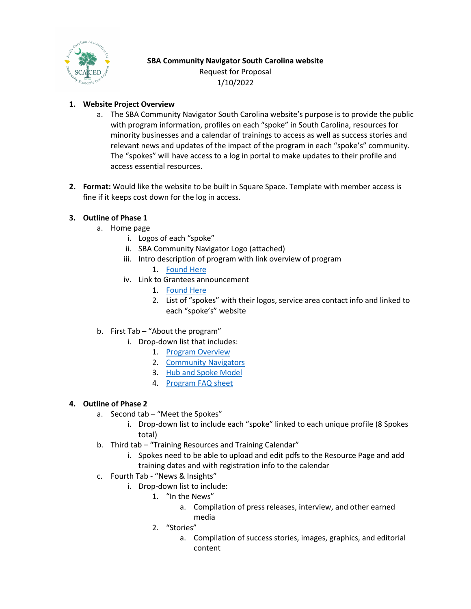

# **SBA Community Navigator South Carolina website** Request for Proposal 1/10/2022

## **1. Website Project Overview**

- a. The SBA Community Navigator South Carolina website's purpose is to provide the public with program information, profiles on each "spoke" in South Carolina, resources for minority businesses and a calendar of trainings to access as well as success stories and relevant news and updates of the impact of the program in each "spoke's" community. The "spokes" will have access to a log in portal to make updates to their profile and access essential resources.
- **2. Format:** Would like the website to be built in Square Space. Template with member access is fine if it keeps cost down for the log in access.

### **3. Outline of Phase 1**

- a. Home page
	- i. Logos of each "spoke"
	- ii. SBA Community Navigator Logo (attached)
	- iii. Intro description of program with link overview of program
		- 1. [Found Here](https://www.sba.gov/partners/counselors/community-navigator-pilot-program)
	- iv. Link to Grantees announcement
		- 1. [Found Here](https://www.sba.gov/article/2021/oct/28/sba-administrator-guzman-biden-harris-administration-announce-community-navigator-pilot-program)
		- 2. List of "spokes" with their logos, service area contact info and linked to each "spoke's" website
- b. First Tab "About the program"
	- i. Drop-down list that includes:
		- 1. [Program Overview](https://www.sba.gov/partners/counselors/community-navigator-pilot-program)
		- 2. [Community Navigators](https://www.sba.gov/local-assistance/community-navigators)
		- 3. [Hub and Spoke Model](https://www.sba.gov/sites/default/files/2021-03/Navigator%20Notice-Final%203-3-21-508.pdf)
		- 4. [Program FAQ sheet](https://www.sba.gov/sites/default/files/2021-11/CNPP%20FAQs_Approved%5B90%5D_508.pdf)

### **4. Outline of Phase 2**

- a. Second tab "Meet the Spokes"
	- i. Drop-down list to include each "spoke" linked to each unique profile (8 Spokes total)
- b. Third tab "Training Resources and Training Calendar"
	- i. Spokes need to be able to upload and edit pdfs to the Resource Page and add training dates and with registration info to the calendar
- c. Fourth Tab "News & Insights"
	- i. Drop-down list to include:
		- 1. "In the News"
			- a. Compilation of press releases, interview, and other earned media
		- 2. "Stories"
			- a. Compilation of success stories, images, graphics, and editorial content